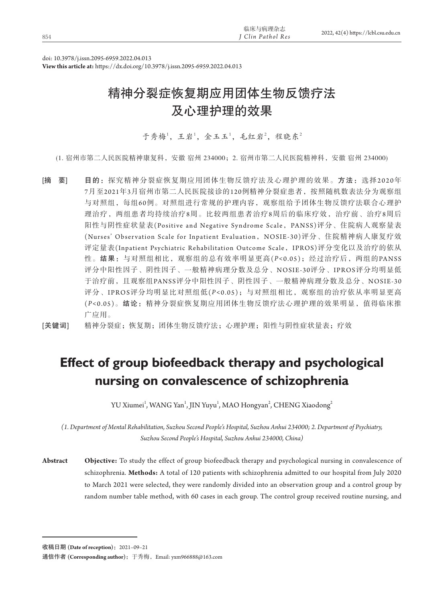| I Clin Pathol Res<br>854 | 2022, 42(4) https://lcbl.csu.edu.cr |
|--------------------------|-------------------------------------|
| 临床与病理杂志                  |                                     |

doi: 10.3978/j.issn.2095-6959.2022.04.013

**View this article at:** https://dx.doi.org/10.3978/j.issn.2095-6959.2022.04.013

# 精神分裂症恢复期应用团体生物反馈疗法 及心理护理的效果

于秀梅1, 王岩1, 金玉玉1, 毛红岩2, 程晓东2

(1. 宿州市第二人民医院精神康复科,安徽 宿州 234000;2. 宿州市第二人民医院精神科,安徽 宿州 234000)

[摘 要] 目的: 探究精神分裂症恢复期应用团体生物反馈疗法及心理护理的效果。方法:选择2020年 7月至2021年3月宿州市第二人民医院接诊的120例精神分裂症患者,按照随机数表法分为观察组 与对照组,每组60例。对照组进行常规的护理内容,观察组给予团体生物反馈疗法联合心理护 理治疗,两组患者均持续治疗8周。比较两组患者治疗8周后的临床疗效,治疗前、治疗8周后 阳性与阴性症状量表(Positive and Negative Syndrome Scale, PANSS)评分、住院病人观察量表 (Nurses' Observation Scale for Inpatient Evaluation,NOSIE-30)评分、住院精神病人康复疗效 评定量表(Inpatient Psychiatric Rehabilitation Outcome Scale, IPROS)评分变化以及治疗的依从 性。结果:与对照组相比,观察组的总有效率明显更高(*P <*0.05);经过治疗后,两组的PANSS 评分中阳性因子、阴性因子、一般精神病理分数及总分、NOSIE-30评分、IPROS评分均明显低 于治疗前,且观察组PANSS评分中阳性因子、阴性因子、一般精神病理分数及总分、NOSIE-30 评分、IPROS评分均明显比对照组低(*P <*0.05);与对照组相比,观察组的治疗依从率明显更高 (*P<*0.05)。结论:精神分裂症恢复期应用团体生物反馈疗法心理护理的效果明显,值得临床推 广应用。

[关键词] 精神分裂症;恢复期;团体生物反馈疗法;心理护理;阳性与阴性症状量表;疗效

# **Effect of group biofeedback therapy and psychological nursing on convalescence of schizophrenia**

YU Xiumei<sup>1</sup>, WANG Yan<sup>1</sup>, JIN Yuyu<sup>1</sup>, MAO Hongyan<sup>2</sup>, CHENG Xiaodong<sup>2</sup>

*(1. Department of Mental Rehabilitation, Suzhou Second People's Hospital, Suzhou Anhui 234000; 2. Department of Psychiatry, Suzhou Second People's Hospital, Suzhou Anhui 234000, China)*

**Abstract Objective:** To study the effect of group biofeedback therapy and psychological nursing in convalescence of schizophrenia. **Methods:** A total of 120 patients with schizophrenia admitted to our hospital from July 2020 to March 2021 were selected, they were randomly divided into an observation group and a control group by random number table method, with 60 cases in each group. The control group received routine nursing, and

收稿日期 (Date of reception): 2021-09-21

通信作者 **(Corresponding author)**:于秀梅,Email: yxm966888@163.com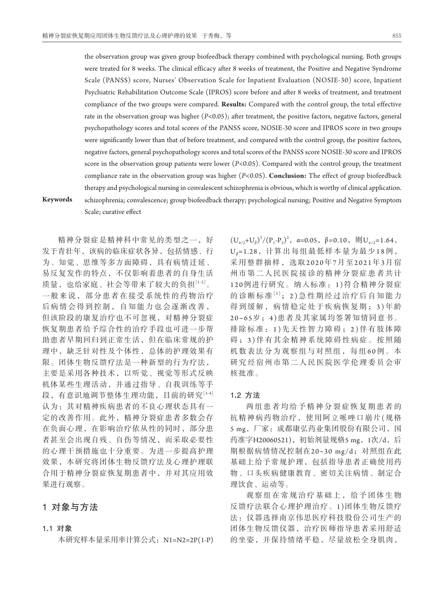the observation group was given group biofeedback therapy combined with psychological nursing. Both groups were treated for 8 weeks. The clinical efficacy after 8 weeks of treatment, the Positive and Negative Syndrome Scale (PANSS) score, Nurses' Observation Scale for Inpatient Evaluation (NOSIE-30) score, Inpatient Psychiatric Rehabilitation Outcome Scale (IPROS) score before and after 8 weeks of treatment, and treatment compliance of the two groups were compared. **Results:** Compared with the control group, the total effective rate in the observation group was higher (*P<*0.05); after treatment, the positive factors, negative factors, general psychopathology scores and total scores of the PANSS score, NOSIE-30 score and IPROS score in two groups were significantly lower than that of before treatment, and compared with the control group, the positive factors, negative factors, general psychopathology scores and total scores of the PANSS score NOSIE-30 score and IPROS score in the observation group patients were lower (*P<*0.05). Compared with the control group, the treatment compliance rate in the observation group was higher (*P<*0.05). **Conclusion:** The effect of group biofeedback therapy and psychological nursing in convalescent schizophrenia is obvious, which is worthy of clinical application. **Keywords** schizophrenia; convalescence; group biofeedback therapy; psychological nursing; Positive and Negative Symptom Scale; curative effect

精神分裂症是精神科中常见的类型之一,好 发于青壮年,该病的临床症状各异,包括情感、行 为、知觉、思维等多方面障碍,具有病情迁延、 易反复发作的特点,不仅影响着患者的自身生活 质量,也给家庭、社会等带来了较大的负担[1-2]。 一般来说,部分患者在接受系统性的药物治疗 后病情会得到控制,自知能力也会逐渐改善, 但该阶段的康复治疗也不可忽视,对精神分裂症 恢复期患者给予综合性的治疗手段也可进一步帮 助患者早期回归到正常生活,但在临床常规的护 理中,缺乏针对性及个体性,总体的护理效果有 限。团体生物反馈疗法是一种新型的行为疗法, 主要是采用各种技术,以听觉、视觉等形式反映 机体某些生理活动,并通过指导、自我训练等手 段,有意识地调节整体生理功能,目前的研究[3-4] 认为: 其对精神疾病患者的不良心理状态具有一 定的改善作用。此外,精神分裂症患者多数会存 在负面心理,在影响治疗依从性的同时,部分患 者甚至会出现自残、自伤等情况,而采取必要性 的心理干预措施也十分重要。为进一步提高护理 效果,本研究将团体生物反馈疗法及心理护理联 合用于精神分裂症恢复期患者中,并对其应用效 果进行观察。

# 1对象与方法

#### 1**.**1对象

本研究样本量采用率计算公式: N1=N2=2P(1-P)

 $(U_{\alpha/2}+U_{\beta})^2/(P_1-P_2)^2$ ,  $\alpha=0.05$ ,  $\beta=0.10$ ,  $\text{M}_{\alpha/2}=1.64$ ,  $U_{\beta}=1.28$ , 计算出每组最低样本量为最少18例, 采用整群抽样,选取2020年7月 至2021年3月 宿 州市第二人民医院接诊的精神分裂症患者共计 120例进行研究。纳入标准:1 )符合精神分裂症 的诊断标准[5]; 2) 急性期经过治疗后自知能力 得到缓解,病情稳定处于疾病恢复期; 3)年龄 20~65岁;4 )患者及其家属均签署知情同意书。 排除标准:1 )先天性智力障碍;2 )伴有肢体障 碍 ;3 )伴有其余精神系统障碍性病症。按照随 机数表法分为观察组与对照组, 每组60例。本 研究经宿州市第二人民医院医学伦理委员会审 核批准。

## 1**.**2方法

两组患者均给予精神分裂症恢复期患者的 抗精神病药物治疗,使用阿立哌唑口崩片(规格 5 mg,厂家:成都康弘药业集团股份有限公司,国 药准字H20060521), 初始剂量规格5 mg, 1次/d, 后 期根据病情情况控制在20~30 mg/d;对照组在此 基础上给予常规护理,包括指导患者正确使用药 物、口头疾病健康教育、密切关注病情、制定合 理饮食、运动等。

观察组在常规治疗基础上,给予团体生物 反馈疗法联合心理护理治疗。1 )团体生物反馈疗 法:仪器选择南京伟思医疗科技股份公司生产的 团体生物反馈仪器,治疗医师指导患者采用舒适 的坐姿,并保持情绪平稳,尽量放松全身肌肉,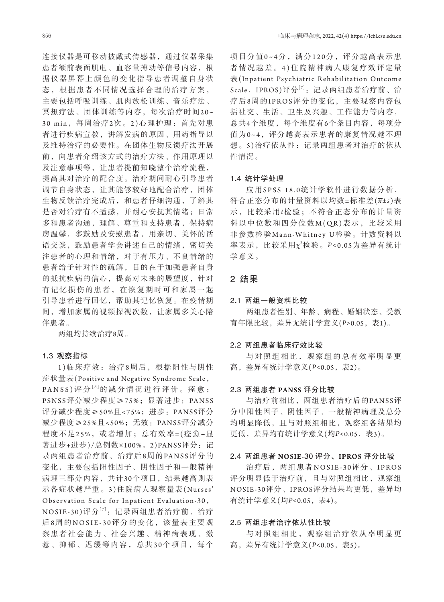连接仪器是可移动披戴式传感器,通过仪器采集 患者额前表面肌电、血容量搏动等信号内容,根 据仪器屏幕上颜色的变化指导患者调整自身状 态,根据患者不同情况选择合理的治疗方案, 主要包括呼吸训练、肌肉放松训练、音乐疗法、 冥想疗法、团体训练等内容,每次治疗时间20~ 30 min,每周治疗2次。2 )心理护理:首先对患 者进行疾病宣教,讲解发病的原因、用药指导以 及维持治疗的必要性。在团体生物反馈疗法开展 前,向患者介绍该方式的治疗方法、作用原理以 及注意事项等,让患者提前知晓整个治疗流程, 提高其对治疗的配合度。治疗期间耐心引导患者 调节自身状态,让其能够较好地配合治疗,团体 生物反馈治疗完成后,和患者仔细沟通,了解其 是否对治疗有不适感,并耐心安抚其情绪;日常 多和患者沟通,理解、尊重和支持患者,保持病 房温馨,多鼓励及安慰患者,用亲切、关怀的话 语交谈,鼓励患者学会讲述自己的情绪,密切关 注患者的心理和情绪,对于有压力、不良情绪的 患者给予针对性的疏解,目的在于加强患者自身 的抵抗疾病的信心,提高对未来的展望度,针对 有记忆损伤的患者,在恢复期时可和家属一起 引导患者进行回忆,帮助其记忆恢复。在疫情期 间,增加家属的视频探视次数,让家属多关心陪 伴患者。

两组均持续治疗8周。

#### 1**.**3观察指标

1 )临床疗效:治疗8周后,根据阳性与阴性 症状量表(Positive and Negative Syndrome Scale, PANSS) 评分 <sup>[6]</sup> 的减分情况进行评价。痊愈: PSNSS评分减少程度≥75%;显著进步:PANSS 评分减少程度≥50%且<75%;进步:PANSS评分 减少程度≥25%且<50%;无效:PANSS评分减分 程度不足25%, 或者增加; 总有效率=(痊愈+显 著进步+进步)/总例数×100%。2)PANSS评分: 记 录两组患者治疗前、治疗后8周的PANSS评分的 变化,主要包括阳性因子、阴性因子和一般精神 病理三部分内容,共计30个项目,结果越高则表 示各症状越严重。3 )住院病人观察量表(Nurses' Observation Scale for Inpatient Evaluation-30, NOSIE-30)评分<sup>[7]</sup>: 记录两组患者治疗前、治疗 后8周的NOSIE-30评分的变化, 该量表主要观 察患者社会能力、社会兴趣、精神病表现、激 惹、抑郁、迟缓等内容,总共3 0个项目,每个 项目分值0~4分,满分120分,评分越高表示患 者情况越差。4 )住院精神病人康复疗效评定量 表(Inpatient Psychiatric Rehabilitation Outcome Scale, IPROS)评分<sup>[7]</sup>: 记录两组患者治疗前、治 疗 后8周 的IPROS评分的变化,主要观察内容包 括社交、生活、卫生及兴趣、工作能力等内容, 总共4个维度,每个维度有6个条目内容,每项分 值为0~4,评分越高表示患者的康复情况越不理 想。5)治疗依从性:记录两组患者对治疗的依从 性情况。

#### 1**.**4统计学处理

应 用SPSS 18.0统计学软件进行数据分析, 符合正态分布的计量资料以均数±标准差(*x*±*s*)表 示,比较采用*t*检验;不符合正态分布的计量资 料以中位数和四分位数M(QR)表示,比较采用 非参数检验Mann-Whitney U检验。计数资料以 率表示, 比较采用χ2检验。P<0.05为差异有统计 学意义。

### 2结果

#### 2**.**1两组一般资料比较

两组患者性别、年龄、病程、婚姻状态、受教 育年限比较,差异无统计学意义(*P>*0.05,表1)。

#### 2**.**2两组患者临床疗效比较

与对照组相比,观察组的总有效率明显更 高,差异有统计学意义(*P<*0.05,表2)。

#### 2**.**3两组患者 **PANSS** 评分比较

与治疗前相比,两组患者治疗后的PANSS评 分中阳性因子、阴性因子、一般精神病理及总分 均明显降低,且与对照组相比,观察组各结果均 更低,差异均有统计学意义(均*P<*0.05,表3)。

### 2**.**4两组患者 **NOSIE-**30 评分、**IPROS** 评分比较

治疗后,两组患者NOSIE-30评分、IPROS 评分明显低于治疗前,且与对照组相比,观察组 NOSIE-30评分、IPROS评分结果均更低,差异均 有统计学意义(均*P<*0.05,表4)。

## 2**.**5两组患者治疗依从性比较

与对照组相比,观察组治疗依从率明显更 高,差异有统计学意义(*P<*0.05,表5)。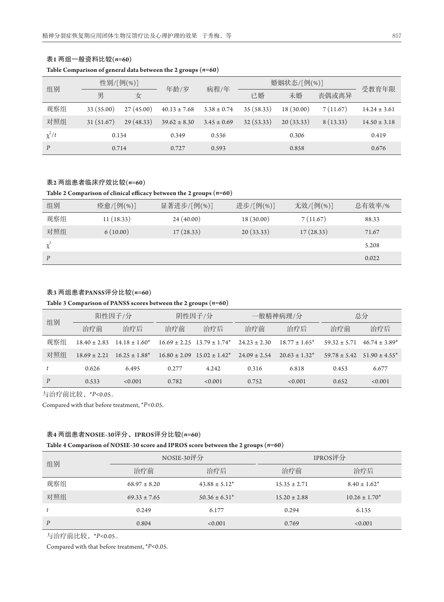| 组别         | 性别/[例(%)]  |           | 年龄/岁             | 病程/年            | 婚姻状态/[例(%)] |           |          | 受教育年限            |
|------------|------------|-----------|------------------|-----------------|-------------|-----------|----------|------------------|
|            | 男          | 女         |                  |                 | 已婚          | 未婚        | 丧偶或离异    |                  |
| 观察组        | 33 (55.00) | 27(45.00) | $40.13 \pm 7.68$ | $3.38 \pm 0.74$ | 35 (58.33)  | 18(30.00) | 7(11.67) | $14.24 \pm 3.61$ |
| 对照组        | 31 (51.67) | 29(48.33) | $39.62 \pm 8.30$ | $3.45 \pm 0.69$ | 32(53.33)   | 20(33.33) | 8(13.33) | $14.50 \pm 3.18$ |
| $\chi^2/t$ | 0.134      |           | 0.349            | 0.536           |             | 0.306     |          | 0.419            |
| P          | 0.714      |           | 0.727            | 0.593           |             | 0.858     |          | 0.676            |

## 表**1** 两组一般资料比较**(***n=***60) Table Comparison of general data between the 2 groups (***n=***60)**

## 表**2** 两组患者临床疗效比较**(***n=***60)**

#### **Table 2 Comparison of clinical efficacy between the 2 groups (***n=***60)**

| 组别       | 痊愈/[例(%)]  | 显著进步/[例(%)] | 进步/[例(%)] | 无效/[例(%)] | 总有效率/% |
|----------|------------|-------------|-----------|-----------|--------|
| 观察组      | 11 (18.33) | 24(40.00)   | 18(30.00) | 7(11.67)  | 88.33  |
| 对照组      | 6(10.00)   | 17(28.33)   | 20(33.33) | 17(28.33) | 71.67  |
| $\chi^2$ |            |             |           |           | 5.208  |
| P        |            |             |           |           | 0.022  |

## 表**3** 两组患者**PANSS**评分比较**(***n=***60)**

#### **Table 3 Comparison of PANSS scores between the 2 groups (***n=***60)**

| 组别  | 阳性因子/分           |                    | 阴性因子/分           |                                                | 一般精神病理/分         |                    | 总分               |                    |
|-----|------------------|--------------------|------------------|------------------------------------------------|------------------|--------------------|------------------|--------------------|
|     | 治疗前              | 治疗后                | 治疗前              | 治疗后                                            | 治疗前              | 治疗后                | 治疗前              | 治疗后                |
| 观察组 | $18.40 \pm 2.83$ | $14.18 \pm 1.60^*$ |                  | $16.69 \pm 2.25$ $13.79 \pm 1.74$ <sup>*</sup> | $24.23 \pm 2.30$ | $18.77 \pm 1.65^*$ | $59.32 \pm 5.71$ | $46.74 \pm 3.89^*$ |
| 对照组 | $18.69 \pm 2.21$ | $16.25 \pm 1.88^*$ | $16.80 \pm 2.09$ | $15.02 \pm 1.42^*$                             | $24.09 \pm 2.54$ | $20.63 \pm 1.32^*$ | $59.78 \pm 5.42$ | $51.90 \pm 4.55^*$ |
|     | 0.626            | 6.495              | 0.277            | 4.242                                          | 0.316            | 6.818              | 0.453            | 6.677              |
| P   | 0.533            | < 0.001            | 0.782            | < 0.001                                        | 0.752            | < 0.001            | 0.652            | < 0.001            |

与治疗前比较,\**P<*0.05。

Compared with that before treatment, \**P<*0.05.

## 表**4** 两组患者**NOSIE-30**评分、**IPROS**评分比较**(***n=***60)**

#### **Table 4 Comparison of NOSIE-30 score and IPROS score between the 2 groups (***n=***60)**

|     |                  | NOSIE-30评分         | IPROS评分          |                    |  |
|-----|------------------|--------------------|------------------|--------------------|--|
| 组别  | 治疗前              | 治疗后                | 治疗前              | 治疗后                |  |
| 观察组 | $68.97 \pm 8.20$ | $43.88 \pm 5.12^*$ | $15.35 \pm 2.71$ | $8.40 \pm 1.62^*$  |  |
| 对照组 | $69.33 \pm 7.65$ | $50.36 \pm 6.31^*$ | $15.20 \pm 2.88$ | $10.26 \pm 1.70^*$ |  |
| t   | 0.249            | 6.177              | 0.294            | 6.135              |  |
| P   | 0.804            | < 0.001            | 0.769            | < 0.001            |  |

与治疗前比较,\**P<*0.05。

Compared with that before treatment, \**P<*0.05.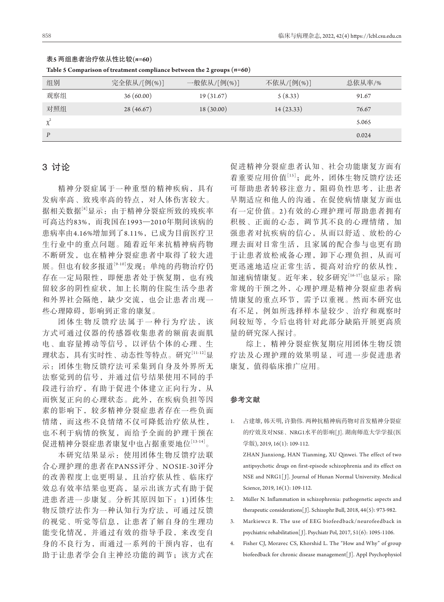| Table 5 Comparison of treatment compliance between the 2 groups (n-oo) |             |             |            |        |  |  |  |
|------------------------------------------------------------------------|-------------|-------------|------------|--------|--|--|--|
| 组别                                                                     | 完全依从/[例(%)] | 一般依从/[例(%)] | 不依从/[例(%)] | 总依从率/% |  |  |  |
| 观察组                                                                    | 36(60.00)   | 19 (31.67)  | 5(8.33)    | 91.67  |  |  |  |
| 对照组                                                                    | 28(46.67)   | 18(30.00)   | 14(23.33)  | 76.67  |  |  |  |
|                                                                        |             |             |            | 5.065  |  |  |  |
| D                                                                      |             |             |            | 0.024  |  |  |  |

## 表**5** 两组患者治疗依从性比较**(***n=***60)**

**Table 5 Comparison of treatment compliance between the 2 groups (***n=***60)**

## 3讨论

精神分裂症属于一种重型的精神疾病,具有 发病率高、致残率高的特点,对人体伤害较大。 据相关数据[8]显示:由于精神分裂症所致的残疾率 可高达约83%,而我国在1993—2010年期间该病的 患病率由4.16%增加到了8.11%,已成为目前医疗卫 生行业中的重点问题。随着近年来抗精神病药物 不断研发,也在精神分裂症患者中取得了较大进 展。但也有较多报道[9-10]发现:单纯的药物治疗仍 存在一定局限性,即便患者处于恢复期,也有残 留较多的阴性症状,加上长期的住院生活令患者 和外界社会隔绝,缺少交流,也会让患者出现一 些心理障碍,影响到正常的康复。

团体生物反馈疗法属于一种行为疗法,该 方式可通过仪器的传感器收集患者的额前表面肌 电、血容量搏动等信号,以评估个体的心理、生 理状态,具有实时性、动态性等特点。研究[11-12]显 示:团体生物反馈疗法可采集到自身及外界所无 法察觉到的信号,并通过信号结果使用不同的手 段进行治疗,有助于促进个体建立正向行为,从 而恢复正向的心理状态。此外,在疾病负担等因 素的影响下,较多精神分裂症患者存在一些负面 情绪,而这些不良情绪不仅可降低治疗依从性, 也不利于病情的恢复,而给予全面的护理干预在 促进精神分裂症患者康复中也占据重要地位[13-14]。

本研究结果显示:使用团体生物反馈疗法联 合心理护理的患者在PANSS评分、NOSIE-30评分 的改善程度上也更明显,且治疗依从性、临床疗 效总有效率结果也更高,显示出该方式有助于促 进患者进一步康复。分析其原因如下: 1)团体生 物反馈疗法作为一种认知行为疗法,可通过反馈 的视觉、听觉等信息,让患者了解自身的生理功 能变化情况,并通过有效的指导手段,来改变自 身的不良行为,而通过一系列的干预内容,也有 助于让患者学会自主神经功能的调节;该方式在

促进精神分裂症患者认知、社会功能康复方面有 着重要应用价值[15];此外,团体生物反馈疗法还 可帮助患者转移注意力,阻碍负性思考,让患者 早期适应和他人的沟通,在促使病情康复方面也 有一定价值。2 )有效的心理护理可帮助患者拥有 积极、正面的心态,调节其不良的心理情绪,加 强患者对抗疾病的信心,从而以舒适、放松的心 理去面对日常生活,且家属的配合参与也更有助 于让患者放松戒备心理,卸下心理负担,从而可 更迅速地适应正常生活,提高对治疗的依从性, 加速病情康复。近年来,较多研究[16-17]也显示:除 常规的干预之外,心理护理是精神分裂症患者病 情康复的重点环节,需予以重视。然而本研究也 有不足,例如所选择样本量较少、治疗和观察时 间较短等,今后也将针对此部分缺陷开展更高质 量的研究深入探讨。

综上,精神分裂症恢复期应用团体生物反馈 疗法及心理护理的效果明显,可进一步促进患者 康复,值得临床推广应用。

## 参考文献

1. 占建雄, 韩天明, 许勤伟. 两种抗精神病药物对首发精神分裂症 的疗效及对NSE、NRG1水平的影响[J]. 湖南师范大学学报(医 学版), 2019, 16(1): 109-112.

 ZHAN Jianxiong, HAN Tianming, XU Qinwei. The effect of two antipsychotic drugs on first-episode schizophrenia and its effect on NSE and NRG1[ J]. Journal of Hunan Normal University. Medical Science, 2019, 16(1): 109-112.

- 2. Müller N. Inflammation in schizophrenia: pathogenetic aspects and therapeutic considerations[J]. Schizophr Bull, 2018, 44(5): 973-982.
- 3. Markiewcz R. The use of EEG biofeedback/neurofeedback in psychiatric rehabilitation[J]. Psychiatr Pol, 2017, 51(6): 1095-1106.
- 4. Fisher CJ, Moravec CS, Khorshid L. The "How and Why" of group biofeedback for chronic disease management[ J]. Appl Psychophysiol